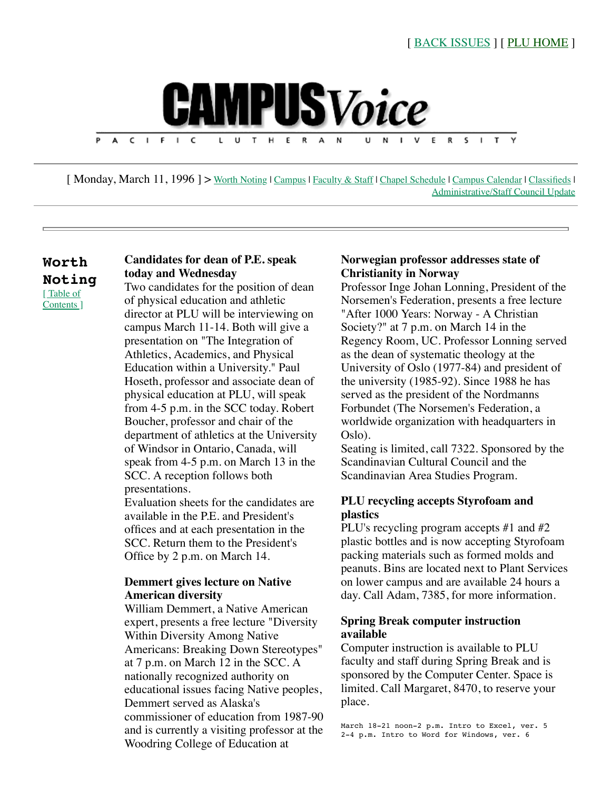<span id="page-0-1"></span>

[Monday, March 11, 1996] > [Worth Noting](#page-0-0) | [Campus](#page-1-0) | [Faculty & Staff](#page-1-1) | [Chapel Schedule](#page-2-0) | [Campus Calendar](#page-2-1) | [Classifieds](#page-3-0) | [Administrative/Staff Council Update](#page-4-0)

## <span id="page-0-0"></span>**Worth Noting**  [ Table of [Contents \]](#page-0-1)

# **Candidates for dean of P.E. speak today and Wednesday**

Two candidates for the position of dean of physical education and athletic director at PLU will be interviewing on campus March 11-14. Both will give a presentation on "The Integration of Athletics, Academics, and Physical Education within a University." Paul Hoseth, professor and associate dean of physical education at PLU, will speak from 4-5 p.m. in the SCC today. Robert Boucher, professor and chair of the department of athletics at the University of Windsor in Ontario, Canada, will speak from 4-5 p.m. on March 13 in the SCC. A reception follows both presentations.

Evaluation sheets for the candidates are available in the P.E. and President's offices and at each presentation in the SCC. Return them to the President's Office by 2 p.m. on March 14.

### **Demmert gives lecture on Native American diversity**

William Demmert, a Native American expert, presents a free lecture "Diversity Within Diversity Among Native Americans: Breaking Down Stereotypes" at 7 p.m. on March 12 in the SCC. A nationally recognized authority on educational issues facing Native peoples, Demmert served as Alaska's commissioner of education from 1987-90 and is currently a visiting professor at the Woodring College of Education at

### **Norwegian professor addresses state of Christianity in Norway**

Professor Inge Johan Lonning, President of the Norsemen's Federation, presents a free lecture "After 1000 Years: Norway - A Christian Society?" at 7 p.m. on March 14 in the Regency Room, UC. Professor Lonning served as the dean of systematic theology at the University of Oslo (1977-84) and president of the university (1985-92). Since 1988 he has served as the president of the Nordmanns Forbundet (The Norsemen's Federation, a worldwide organization with headquarters in Oslo).

Seating is limited, call 7322. Sponsored by the Scandinavian Cultural Council and the Scandinavian Area Studies Program.

## **PLU recycling accepts Styrofoam and plastics**

PLU's recycling program accepts #1 and #2 plastic bottles and is now accepting Styrofoam packing materials such as formed molds and peanuts. Bins are located next to Plant Services on lower campus and are available 24 hours a day. Call Adam, 7385, for more information.

## **Spring Break computer instruction available**

Computer instruction is available to PLU faculty and staff during Spring Break and is sponsored by the Computer Center. Space is limited. Call Margaret, 8470, to reserve your place.

March 18-21 noon-2 p.m. Intro to Excel, ver. 5 2-4 p.m. Intro to Word for Windows, ver. 6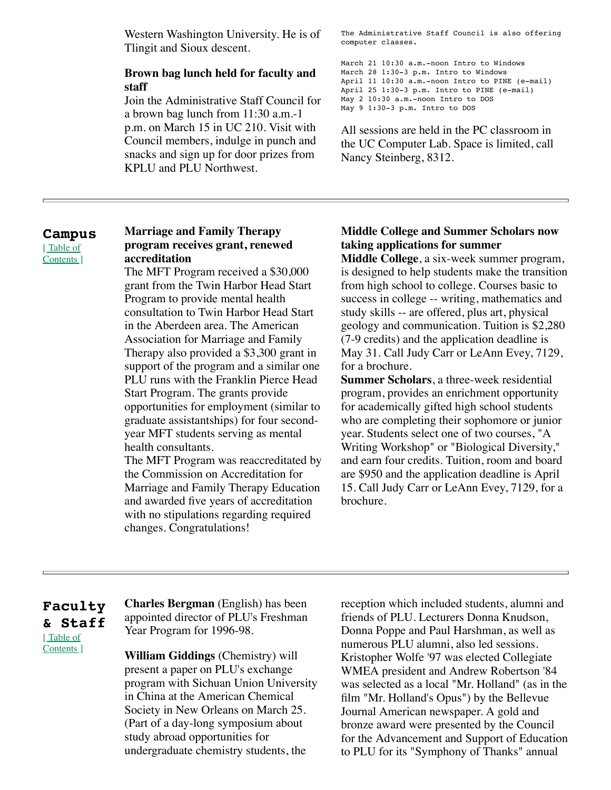Western Washington University. He is of Tlingit and Sioux descent.

### **Brown bag lunch held for faculty and staff**

Join the Administrative Staff Council for a brown bag lunch from 11:30 a.m.-1 p.m. on March 15 in UC 210. Visit with Council members, indulge in punch and snacks and sign up for door prizes from KPLU and PLU Northwest.

The Administrative Staff Council is also offering computer classes.

March 21 10:30 a.m.-noon Intro to Windows March 28 1:30-3 p.m. Intro to Windows April 11 10:30 a.m.-noon Intro to PINE (e-mail) April 25 1:30-3 p.m. Intro to PINE (e-mail) May 2 10:30 a.m.-noon Intro to DOS May 9 1:30-3 p.m. Intro to DOS

All sessions are held in the PC classroom in the UC Computer Lab. Space is limited, call Nancy Steinberg, 8312.

#### <span id="page-1-0"></span>**Campus**  [Table of

[Contents \]](#page-0-1)

#### **Marriage and Family Therapy program receives grant, renewed accreditation**

The MFT Program received a \$30,000 grant from the Twin Harbor Head Start Program to provide mental health consultation to Twin Harbor Head Start in the Aberdeen area. The American Association for Marriage and Family Therapy also provided a \$3,300 grant in support of the program and a similar one PLU runs with the Franklin Pierce Head Start Program. The grants provide opportunities for employment (similar to graduate assistantships) for four secondyear MFT students serving as mental health consultants.

The MFT Program was reaccreditated by the Commission on Accreditation for Marriage and Family Therapy Education and awarded five years of accreditation with no stipulations regarding required changes. Congratulations!

## **Middle College and Summer Scholars now taking applications for summer**

**Middle College**, a six-week summer program, is designed to help students make the transition from high school to college. Courses basic to success in college -- writing, mathematics and study skills -- are offered, plus art, physical geology and communication. Tuition is \$2,280 (7-9 credits) and the application deadline is May 31. Call Judy Carr or LeAnn Evey, 7129, for a brochure.

**Summer Scholars**, a three-week residential program, provides an enrichment opportunity for academically gifted high school students who are completing their sophomore or junior year. Students select one of two courses, "A Writing Workshop" or "Biological Diversity," and earn four credits. Tuition, room and board are \$950 and the application deadline is April 15. Call Judy Carr or LeAnn Evey, 7129, for a brochure.

## <span id="page-1-1"></span>**Faculty & Staff** [Table of [Contents \]](#page-0-1)

**Charles Bergman** (English) has been appointed director of PLU's Freshman Year Program for 1996-98.

**William Giddings** (Chemistry) will present a paper on PLU's exchange program with Sichuan Union University in China at the American Chemical Society in New Orleans on March 25. (Part of a day-long symposium about study abroad opportunities for undergraduate chemistry students, the

reception which included students, alumni and friends of PLU. Lecturers Donna Knudson, Donna Poppe and Paul Harshman, as well as numerous PLU alumni, also led sessions. Kristopher Wolfe '97 was elected Collegiate WMEA president and Andrew Robertson '84 was selected as a local "Mr. Holland" (as in the film "Mr. Holland's Opus") by the Bellevue Journal American newspaper. A gold and bronze award were presented by the Council for the Advancement and Support of Education to PLU for its "Symphony of Thanks" annual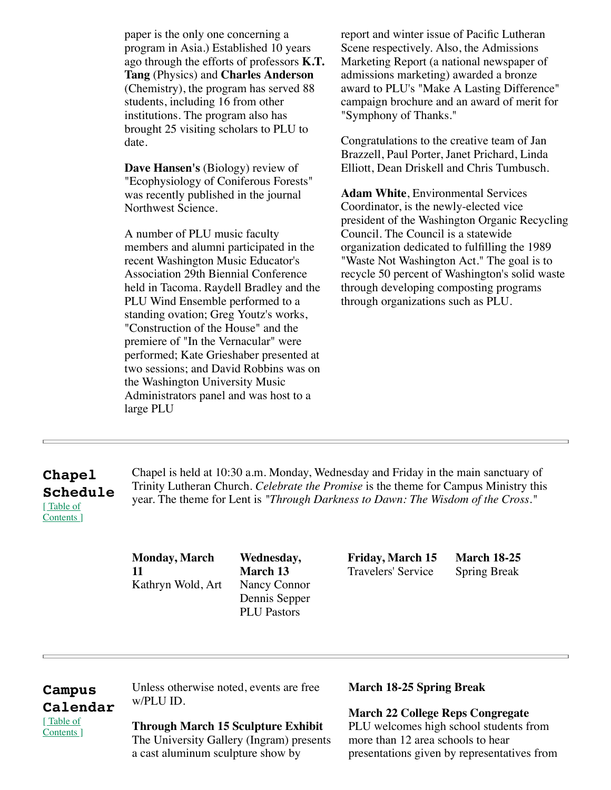paper is the only one concerning a program in Asia.) Established 10 years ago through the efforts of professors **K.T. Tang** (Physics) and **Charles Anderson** (Chemistry), the program has served 88 students, including 16 from other institutions. The program also has brought 25 visiting scholars to PLU to date.

**Dave Hansen's** (Biology) review of "Ecophysiology of Coniferous Forests" was recently published in the journal Northwest Science.

A number of PLU music faculty members and alumni participated in the recent Washington Music Educator's Association 29th Biennial Conference held in Tacoma. Raydell Bradley and the PLU Wind Ensemble performed to a standing ovation; Greg Youtz's works, "Construction of the House" and the premiere of "In the Vernacular" were performed; Kate Grieshaber presented at two sessions; and David Robbins was on the Washington University Music Administrators panel and was host to a large PLU

report and winter issue of Pacific Lutheran Scene respectively. Also, the Admissions Marketing Report (a national newspaper of admissions marketing) awarded a bronze award to PLU's "Make A Lasting Difference" campaign brochure and an award of merit for "Symphony of Thanks."

Congratulations to the creative team of Jan Brazzell, Paul Porter, Janet Prichard, Linda Elliott, Dean Driskell and Chris Tumbusch.

**Adam White**, Environmental Services Coordinator, is the newly-elected vice president of the Washington Organic Recycling Council. The Council is a statewide organization dedicated to fulfilling the 1989 "Waste Not Washington Act." The goal is to recycle 50 percent of Washington's solid waste through developing composting programs through organizations such as PLU.

# <span id="page-2-0"></span>**Chapel Schedule** [ Table of [Contents \]](#page-0-1)

Chapel is held at 10:30 a.m. Monday, Wednesday and Friday in the main sanctuary of Trinity Lutheran Church. *Celebrate the Promise* is the theme for Campus Ministry this year. The theme for Lent is *"Through Darkness to Dawn: The Wisdom of the Cross."*

**Monday, March 11** Kathryn Wold, Art

**Wednesday, March 13** Nancy Connor Dennis Sepper PLU Pastors

**Friday, March 15** Travelers' Service

**March 18-25** Spring Break

# <span id="page-2-1"></span>**Campus Calendar** [ Table of [Contents \]](#page-0-1)

Unless otherwise noted, events are free w/PLU ID.

# **Through March 15 Sculpture Exhibit**

The University Gallery (Ingram) presents a cast aluminum sculpture show by

# **March 18-25 Spring Break**

**March 22 College Reps Congregate**  PLU welcomes high school students from more than 12 area schools to hear presentations given by representatives from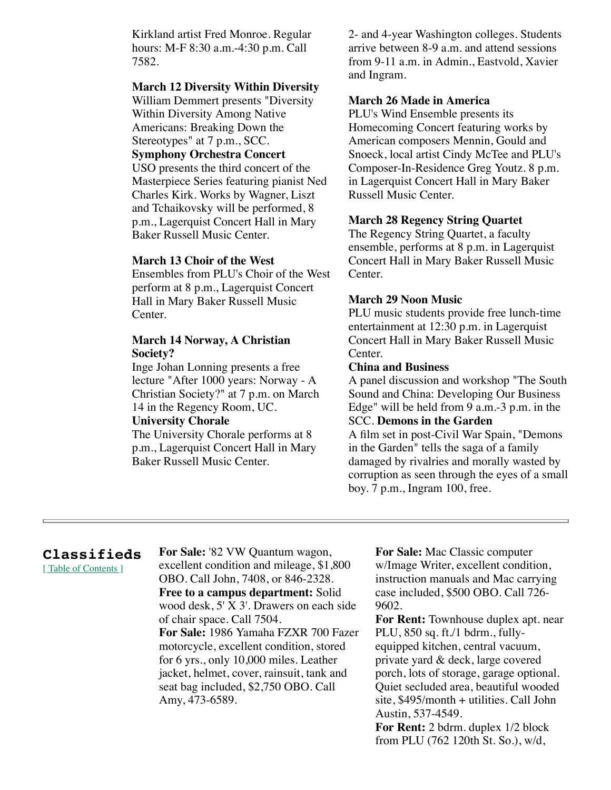Kirkland artist Fred Monroe. Regular hours: M-F 8:30 a.m.-4:30 p.m. Call 7582.

## **March 12 Diversity Within Diversity**

William Demmert presents "Diversity Within Diversity Among Native Americans: Breaking Down the Stereotypes" at 7 p.m., SCC.

### **Symphony Orchestra Concert**

USO presents the third concert of the Masterpiece Series featuring pianist Ned Charles Kirk. Works by Wagner, Liszt and Tchaikovsky will be performed, 8 p.m., Lagerquist Concert Hall in Mary Baker Russell Music Center.

#### **March 13 Choir of the West**

Ensembles from PLU's Choir of the West perform at 8 p.m., Lagerquist Concert Hall in Mary Baker Russell Music Center.

#### **March 14 Norway, A Christian Society?**

Inge Johan Lonning presents a free lecture "After 1000 years: Norway - A Christian Society?" at 7 p.m. on March 14 in the Regency Room, UC.

#### **University Chorale**

The University Chorale performs at 8 p.m., Lagerquist Concert Hall in Mary Baker Russell Music Center.

2- and 4-year Washington colleges. Students arrive between 8-9 a.m. and attend sessions from 9-11 a.m. in Admin., Eastvold, Xavier and Ingram.

### **March 26 Made in America**

PLU's Wind Ensemble presents its Homecoming Concert featuring works by American composers Mennin, Gould and Snoeck, local artist Cindy McTee and PLU's Composer-In-Residence Greg Youtz. 8 p.m. in Lagerquist Concert Hall in Mary Baker Russell Music Center.

#### **March 28 Regency String Quartet**

The Regency String Quartet, a faculty ensemble, performs at 8 p.m. in Lagerquist Concert Hall in Mary Baker Russell Music Center.

#### **March 29 Noon Music**

PLU music students provide free lunch-time entertainment at 12:30 p.m. in Lagerquist Concert Hall in Mary Baker Russell Music Center.

#### **China and Business**

A panel discussion and workshop "The South Sound and China: Developing Our Business Edge" will be held from 9 a.m.-3 p.m. in the SCC. **Demons in the Garden** 

A film set in post-Civil War Spain, "Demons

in the Garden" tells the saga of a family damaged by rivalries and morally wasted by corruption as seen through the eyes of a small boy. 7 p.m., Ingram 100, free.

# <span id="page-3-0"></span>**Classifieds**

[Table of Contents]

**For Sale:** '82 VW Quantum wagon, excellent condition and mileage, \$1,800 OBO. Call John, 7408, or 846-2328. **Free to a campus department:** Solid wood desk, 5' X 3'. Drawers on each side of chair space. Call 7504. **For Sale:** 1986 Yamaha FZXR 700 Fazer motorcycle, excellent condition, stored for 6 yrs., only 10,000 miles. Leather jacket, helmet, cover, rainsuit, tank and seat bag included, \$2,750 OBO. Call Amy, 473-6589.

**For Sale:** Mac Classic computer w/Image Writer, excellent condition, instruction manuals and Mac carrying case included, \$500 OBO. Call 726- 9602.

**For Rent:** Townhouse duplex apt. near PLU, 850 sq. ft./1 bdrm., fullyequipped kitchen, central vacuum, private yard & deck, large covered porch, lots of storage, garage optional. Quiet secluded area, beautiful wooded site, \$495/month + utilities. Call John Austin, 537-4549.

**For Rent:** 2 bdrm. duplex 1/2 block from PLU (762 120th St. So.), w/d,